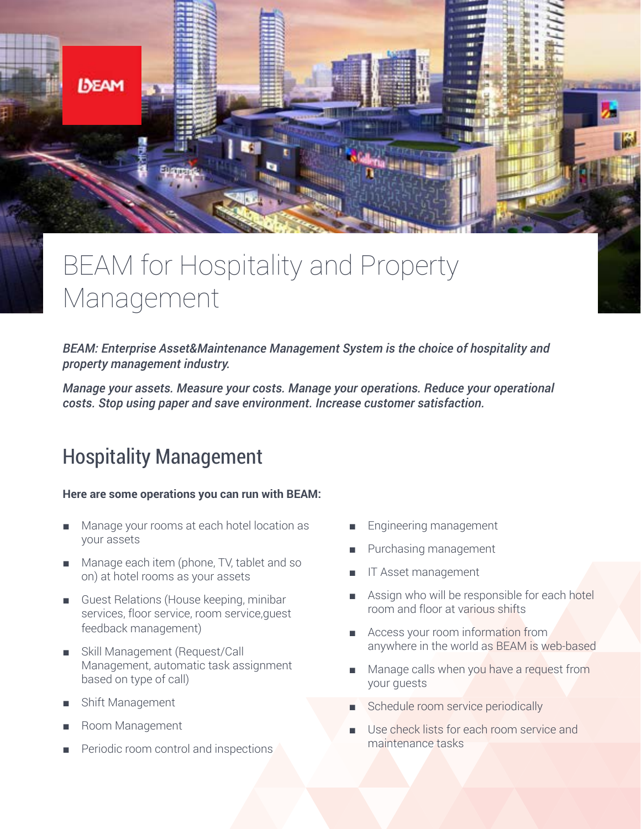

# BEAM for Hospitality and Property Management

*BEAM: Enterprise Asset&Maintenance Management System is the choice of hospitality and property management industry.* 

*Manage your assets. Measure your costs. Manage your operations. Reduce your operational costs. Stop using paper and save environment. Increase customer satisfaction.*

# Hospitality Management

### **Here are some operations you can run with BEAM:**

- Manage your rooms at each hotel location as your assets
- Manage each item (phone, TV, tablet and so on) at hotel rooms as your assets
- Guest Relations (House keeping, minibar services, floor service, room service,guest feedback management)
- Skill Management (Request/Call Management, automatic task assignment based on type of call)
- Shift Management
- Room Management
- Periodic room control and inspections
- Engineering management
- Purchasing management
- IT Asset management
- Assign who will be responsible for each hotel room and floor at various shifts
- Access your room information from anywhere in the world as BEAM is web-based
- Manage calls when you have a request from your guests
- Schedule room service periodically
- Use check lists for each room service and maintenance tasks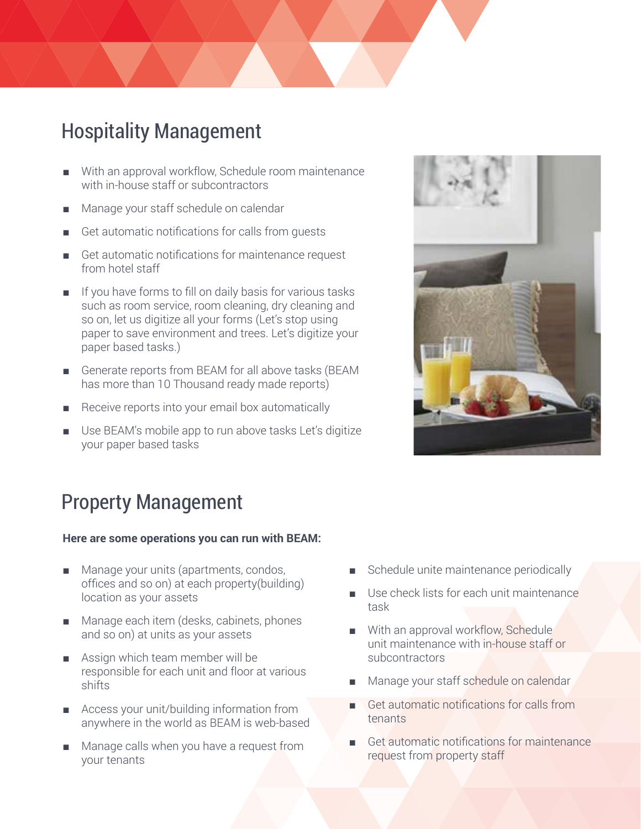# Hospitality Management

- With an approval workflow, Schedule room maintenance with in-house staff or subcontractors
- Manage your staff schedule on calendar
- Get automatic notifications for calls from quests
- Get automatic notifications for maintenance request from hotel staff
- If you have forms to fill on daily basis for various tasks such as room service, room cleaning, dry cleaning and so on, let us digitize all your forms (Let's stop using paper to save environment and trees. Let's digitize your paper based tasks.)
- Generate reports from BEAM for all above tasks (BEAM has more than 10 Thousand ready made reports)
- Receive reports into your email box automatically
- Use BEAM's mobile app to run above tasks Let's digitize your paper based tasks



# Property Management

### **Here are some operations you can run with BEAM:**

- Manage your units (apartments, condos, offices and so on) at each property(building) location as your assets
- Manage each item (desks, cabinets, phones and so on) at units as your assets
- Assign which team member will be responsible for each unit and floor at various shifts
- Access your unit/building information from anywhere in the world as BEAM is web-based
- Manage calls when you have a request from your tenants
- Schedule unite maintenance periodically
- Use check lists for each unit maintenance task
- With an approval workflow, Schedule unit maintenance with in-house staff or subcontractors
- Manage your staff schedule on calendar
- Get automatic notifications for calls from tenants
- Get automatic notifications for maintenance request from property staff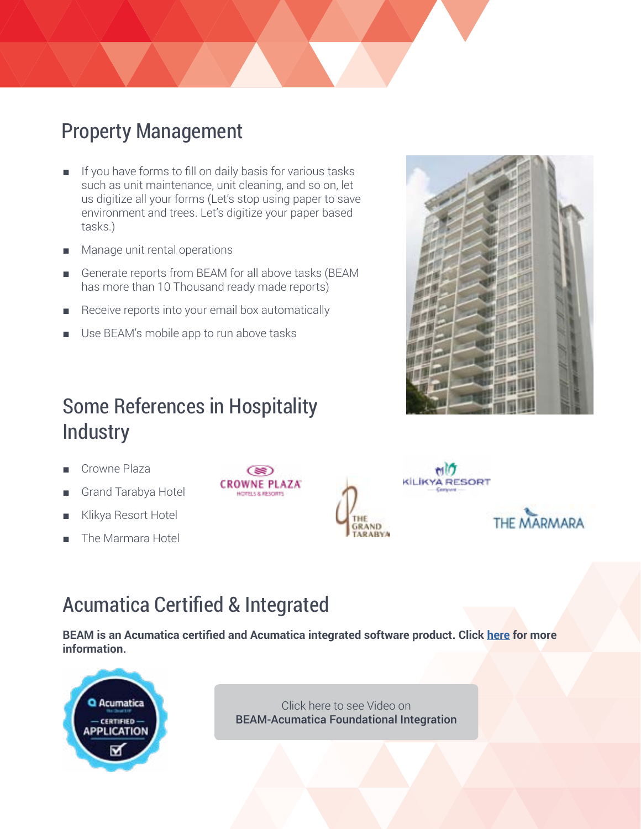# Property Management

- If you have forms to fill on daily basis for various tasks such as unit maintenance, unit cleaning, and so on, let us digitize all your forms (Let's stop using paper to save environment and trees. Let's digitize your paper based tasks.)
- Manage unit rental operations
- Generate reports from BEAM for all above tasks (BEAM has more than 10 Thousand ready made reports)
- Receive reports into your email box automatically
- Use BEAM's mobile app to run above tasks

# Some References in Hospitality **Industry**

- Crowne Plaza
- Grand Tarabya Hotel
- Klikya Resort Hotel
- The Marmara Hotel







# Acumatica Certified & Integrated

**BEAM is an Acumatica certified and Acumatica integrated software product. Click [here](https://www.acumatica.com/extensions/bimser-beam-asset-maintenance-management-software/) for more information.**



Click here to see Video on [BEAM-Acumatica Foundational Integration](https://www.youtube.com/watch?v=EHWlajzkSxQ)